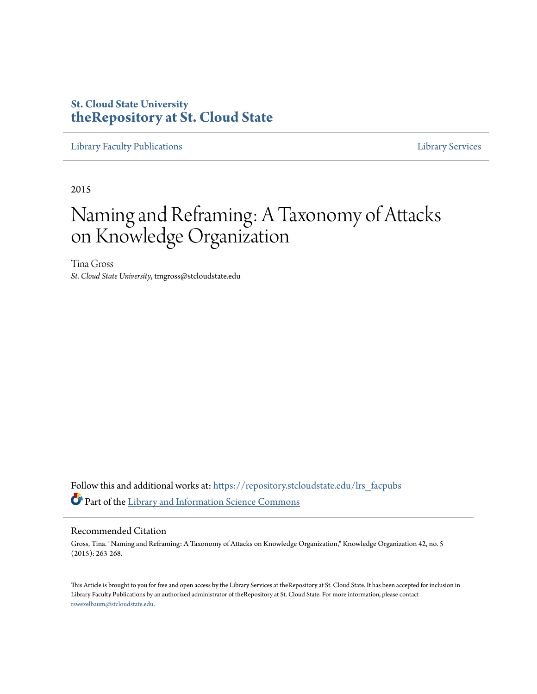## **St. Cloud State University [theRepository at St. Cloud State](https://repository.stcloudstate.edu?utm_source=repository.stcloudstate.edu%2Flrs_facpubs%2F50&utm_medium=PDF&utm_campaign=PDFCoverPages)**

[Library Faculty Publications](https://repository.stcloudstate.edu/lrs_facpubs?utm_source=repository.stcloudstate.edu%2Flrs_facpubs%2F50&utm_medium=PDF&utm_campaign=PDFCoverPages) [Library Services](https://repository.stcloudstate.edu/ls?utm_source=repository.stcloudstate.edu%2Flrs_facpubs%2F50&utm_medium=PDF&utm_campaign=PDFCoverPages)

2015

# Naming and Reframing: A Taxonomy of Attacks on Knowledge Organization

Tina Gross *St. Cloud State University*, tmgross@stcloudstate.edu

Follow this and additional works at: [https://repository.stcloudstate.edu/lrs\\_facpubs](https://repository.stcloudstate.edu/lrs_facpubs?utm_source=repository.stcloudstate.edu%2Flrs_facpubs%2F50&utm_medium=PDF&utm_campaign=PDFCoverPages) Part of the [Library and Information Science Commons](http://network.bepress.com/hgg/discipline/1018?utm_source=repository.stcloudstate.edu%2Flrs_facpubs%2F50&utm_medium=PDF&utm_campaign=PDFCoverPages)

#### Recommended Citation

Gross, Tina. "Naming and Reframing: A Taxonomy of Attacks on Knowledge Organization," Knowledge Organization 42, no. 5 (2015): 263-268.

This Article is brought to you for free and open access by the Library Services at theRepository at St. Cloud State. It has been accepted for inclusion in Library Faculty Publications by an authorized administrator of theRepository at St. Cloud State. For more information, please contact [rswexelbaum@stcloudstate.edu](mailto:rswexelbaum@stcloudstate.edu).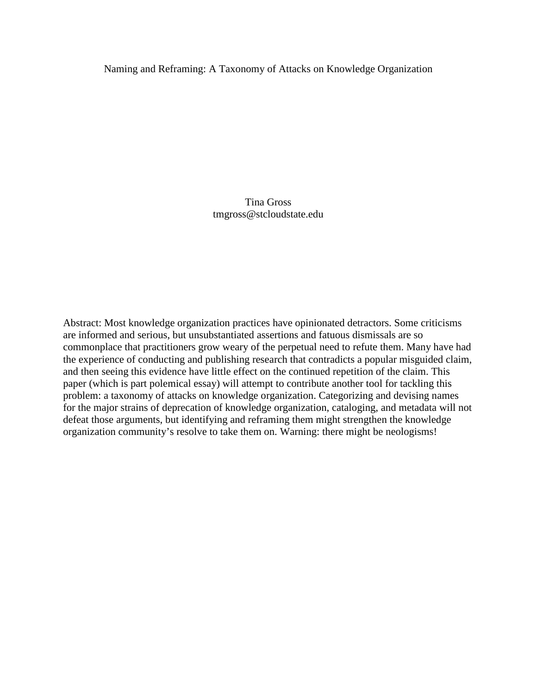Naming and Reframing: A Taxonomy of Attacks on Knowledge Organization

Tina Gross tmgross@stcloudstate.edu

Abstract: Most knowledge organization practices have opinionated detractors. Some criticisms are informed and serious, but unsubstantiated assertions and fatuous dismissals are so commonplace that practitioners grow weary of the perpetual need to refute them. Many have had the experience of conducting and publishing research that contradicts a popular misguided claim, and then seeing this evidence have little effect on the continued repetition of the claim. This paper (which is part polemical essay) will attempt to contribute another tool for tackling this problem: a taxonomy of attacks on knowledge organization. Categorizing and devising names for the major strains of deprecation of knowledge organization, cataloging, and metadata will not defeat those arguments, but identifying and reframing them might strengthen the knowledge organization community's resolve to take them on. Warning: there might be neologisms!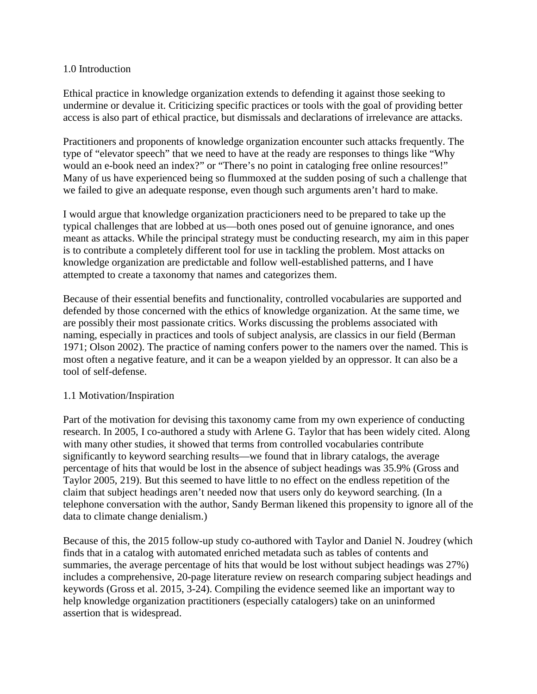#### 1.0 Introduction

Ethical practice in knowledge organization extends to defending it against those seeking to undermine or devalue it. Criticizing specific practices or tools with the goal of providing better access is also part of ethical practice, but dismissals and declarations of irrelevance are attacks.

Practitioners and proponents of knowledge organization encounter such attacks frequently. The type of "elevator speech" that we need to have at the ready are responses to things like "Why would an e-book need an index?" or "There's no point in cataloging free online resources!" Many of us have experienced being so flummoxed at the sudden posing of such a challenge that we failed to give an adequate response, even though such arguments aren't hard to make.

I would argue that knowledge organization practicioners need to be prepared to take up the typical challenges that are lobbed at us—both ones posed out of genuine ignorance, and ones meant as attacks. While the principal strategy must be conducting research, my aim in this paper is to contribute a completely different tool for use in tackling the problem. Most attacks on knowledge organization are predictable and follow well-established patterns, and I have attempted to create a taxonomy that names and categorizes them.

Because of their essential benefits and functionality, controlled vocabularies are supported and defended by those concerned with the ethics of knowledge organization. At the same time, we are possibly their most passionate critics. Works discussing the problems associated with naming, especially in practices and tools of subject analysis, are classics in our field (Berman 1971; Olson 2002). The practice of naming confers power to the namers over the named. This is most often a negative feature, and it can be a weapon yielded by an oppressor. It can also be a tool of self-defense.

#### 1.1 Motivation/Inspiration

Part of the motivation for devising this taxonomy came from my own experience of conducting research. In 2005, I co-authored a study with Arlene G. Taylor that has been widely cited. Along with many other studies, it showed that terms from controlled vocabularies contribute significantly to keyword searching results—we found that in library catalogs, the average percentage of hits that would be lost in the absence of subject headings was 35.9% (Gross and Taylor 2005, 219). But this seemed to have little to no effect on the endless repetition of the claim that subject headings aren't needed now that users only do keyword searching. (In a telephone conversation with the author, Sandy Berman likened this propensity to ignore all of the data to climate change denialism.)

Because of this, the 2015 follow-up study co-authored with Taylor and Daniel N. Joudrey (which finds that in a catalog with automated enriched metadata such as tables of contents and summaries, the average percentage of hits that would be lost without subject headings was 27%) includes a comprehensive, 20-page literature review on research comparing subject headings and keywords (Gross et al. 2015, 3-24). Compiling the evidence seemed like an important way to help knowledge organization practitioners (especially catalogers) take on an uninformed assertion that is widespread.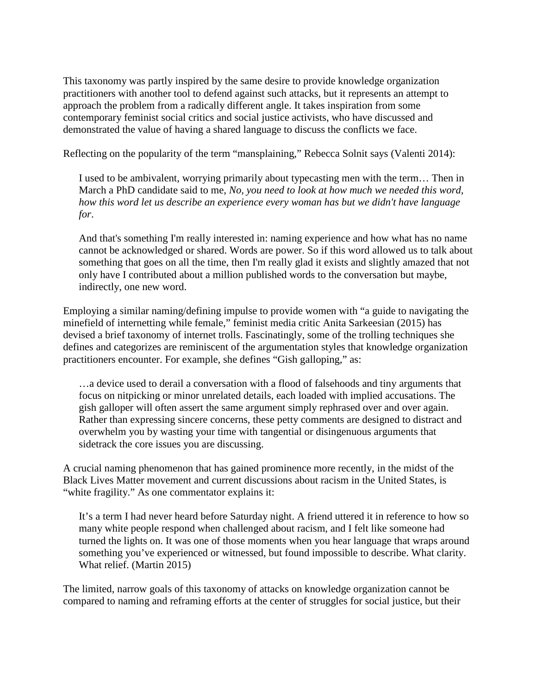This taxonomy was partly inspired by the same desire to provide knowledge organization practitioners with another tool to defend against such attacks, but it represents an attempt to approach the problem from a radically different angle. It takes inspiration from some contemporary feminist social critics and social justice activists, who have discussed and demonstrated the value of having a shared language to discuss the conflicts we face.

Reflecting on the popularity of the term "mansplaining," Rebecca Solnit says (Valenti 2014):

I used to be ambivalent, worrying primarily about typecasting men with the term… Then in March a PhD candidate said to me, *No, you need to look at how much we needed this word, how this word let us describe an experience every woman has but we didn't have language for*.

And that's something I'm really interested in: naming experience and how what has no name cannot be acknowledged or shared. Words are power. So if this word allowed us to talk about something that goes on all the time, then I'm really glad it exists and slightly amazed that not only have I contributed about a million published words to the conversation but maybe, indirectly, one new word.

Employing a similar naming/defining impulse to provide women with "a guide to navigating the minefield of internetting while female," feminist media critic Anita Sarkeesian (2015) has devised a brief taxonomy of internet trolls. Fascinatingly, some of the trolling techniques she defines and categorizes are reminiscent of the argumentation styles that knowledge organization practitioners encounter. For example, she defines "Gish galloping," as:

…a device used to derail a conversation with a flood of falsehoods and tiny arguments that focus on nitpicking or minor unrelated details, each loaded with implied accusations. The gish galloper will often assert the same argument simply rephrased over and over again. Rather than expressing sincere concerns, these petty comments are designed to distract and overwhelm you by wasting your time with tangential or disingenuous arguments that sidetrack the core issues you are discussing.

A crucial naming phenomenon that has gained prominence more recently, in the midst of the Black Lives Matter movement and current discussions about racism in the United States, is "white fragility." As one commentator explains it:

It's a term I had never heard before Saturday night. A friend uttered it in reference to how so many white people respond when challenged about racism, and I felt like someone had turned the lights on. It was one of those moments when you hear language that wraps around something you've experienced or witnessed, but found impossible to describe. What clarity. What relief. (Martin 2015)

The limited, narrow goals of this taxonomy of attacks on knowledge organization cannot be compared to naming and reframing efforts at the center of struggles for social justice, but their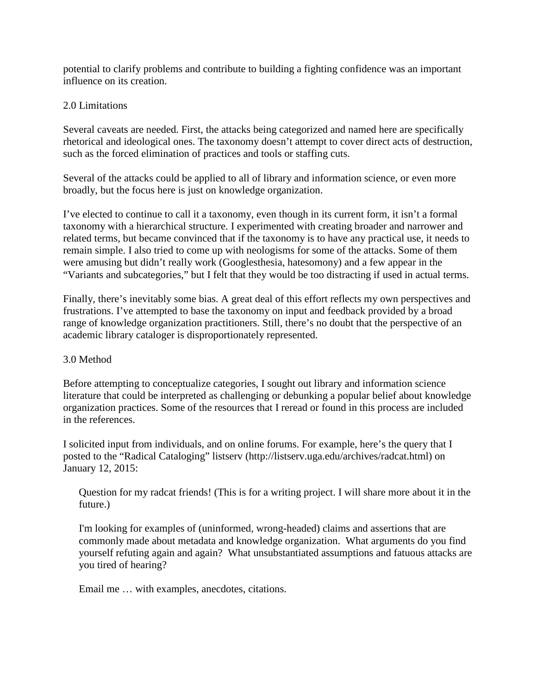potential to clarify problems and contribute to building a fighting confidence was an important influence on its creation.

#### 2.0 Limitations

Several caveats are needed. First, the attacks being categorized and named here are specifically rhetorical and ideological ones. The taxonomy doesn't attempt to cover direct acts of destruction, such as the forced elimination of practices and tools or staffing cuts.

Several of the attacks could be applied to all of library and information science, or even more broadly, but the focus here is just on knowledge organization.

I've elected to continue to call it a taxonomy, even though in its current form, it isn't a formal taxonomy with a hierarchical structure. I experimented with creating broader and narrower and related terms, but became convinced that if the taxonomy is to have any practical use, it needs to remain simple. I also tried to come up with neologisms for some of the attacks. Some of them were amusing but didn't really work (Googlesthesia, hatesomony) and a few appear in the "Variants and subcategories," but I felt that they would be too distracting if used in actual terms.

Finally, there's inevitably some bias. A great deal of this effort reflects my own perspectives and frustrations. I've attempted to base the taxonomy on input and feedback provided by a broad range of knowledge organization practitioners. Still, there's no doubt that the perspective of an academic library cataloger is disproportionately represented.

#### 3.0 Method

Before attempting to conceptualize categories, I sought out library and information science literature that could be interpreted as challenging or debunking a popular belief about knowledge organization practices. Some of the resources that I reread or found in this process are included in the references.

I solicited input from individuals, and on online forums. For example, here's the query that I posted to the "Radical Cataloging" listserv (http://listserv.uga.edu/archives/radcat.html) on January 12, 2015:

Question for my radcat friends! (This is for a writing project. I will share more about it in the future.)

I'm looking for examples of (uninformed, wrong-headed) claims and assertions that are commonly made about metadata and knowledge organization. What arguments do you find yourself refuting again and again? What unsubstantiated assumptions and fatuous attacks are you tired of hearing?

Email me … with examples, anecdotes, citations.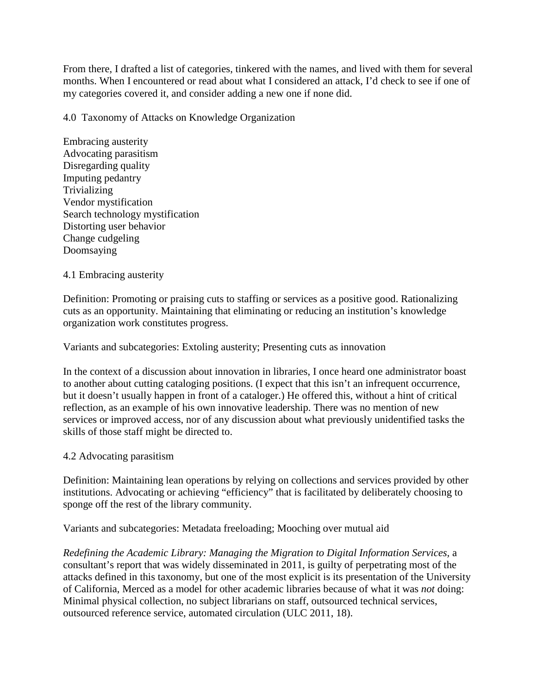From there, I drafted a list of categories, tinkered with the names, and lived with them for several months. When I encountered or read about what I considered an attack, I'd check to see if one of my categories covered it, and consider adding a new one if none did.

4.0 Taxonomy of Attacks on Knowledge Organization

Embracing austerity Advocating parasitism Disregarding quality Imputing pedantry **Trivializing** Vendor mystification Search technology mystification Distorting user behavior Change cudgeling Doomsaying

4.1 Embracing austerity

Definition: Promoting or praising cuts to staffing or services as a positive good. Rationalizing cuts as an opportunity. Maintaining that eliminating or reducing an institution's knowledge organization work constitutes progress.

Variants and subcategories: Extoling austerity; Presenting cuts as innovation

In the context of a discussion about innovation in libraries, I once heard one administrator boast to another about cutting cataloging positions. (I expect that this isn't an infrequent occurrence, but it doesn't usually happen in front of a cataloger.) He offered this, without a hint of critical reflection, as an example of his own innovative leadership. There was no mention of new services or improved access, nor of any discussion about what previously unidentified tasks the skills of those staff might be directed to.

4.2 Advocating parasitism

Definition: Maintaining lean operations by relying on collections and services provided by other institutions. Advocating or achieving "efficiency" that is facilitated by deliberately choosing to sponge off the rest of the library community.

Variants and subcategories: Metadata freeloading; Mooching over mutual aid

*Redefining the Academic Library: Managing the Migration to Digital Information Services,* a consultant's report that was widely disseminated in 2011, is guilty of perpetrating most of the attacks defined in this taxonomy, but one of the most explicit is its presentation of the University of California, Merced as a model for other academic libraries because of what it was *not* doing: Minimal physical collection, no subject librarians on staff, outsourced technical services, outsourced reference service, automated circulation (ULC 2011, 18).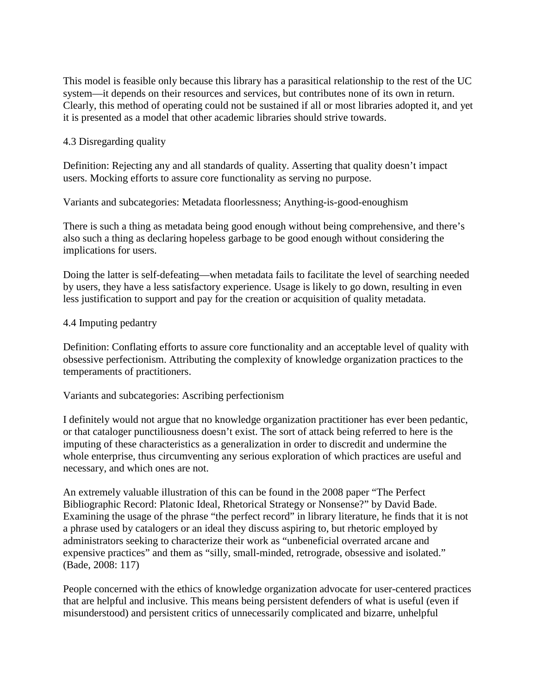This model is feasible only because this library has a parasitical relationship to the rest of the UC system—it depends on their resources and services, but contributes none of its own in return. Clearly, this method of operating could not be sustained if all or most libraries adopted it, and yet it is presented as a model that other academic libraries should strive towards.

#### 4.3 Disregarding quality

Definition: Rejecting any and all standards of quality. Asserting that quality doesn't impact users. Mocking efforts to assure core functionality as serving no purpose.

Variants and subcategories: Metadata floorlessness; Anything-is-good-enoughism

There is such a thing as metadata being good enough without being comprehensive, and there's also such a thing as declaring hopeless garbage to be good enough without considering the implications for users.

Doing the latter is self-defeating—when metadata fails to facilitate the level of searching needed by users, they have a less satisfactory experience. Usage is likely to go down, resulting in even less justification to support and pay for the creation or acquisition of quality metadata.

#### 4.4 Imputing pedantry

Definition: Conflating efforts to assure core functionality and an acceptable level of quality with obsessive perfectionism. Attributing the complexity of knowledge organization practices to the temperaments of practitioners.

#### Variants and subcategories: Ascribing perfectionism

I definitely would not argue that no knowledge organization practitioner has ever been pedantic, or that cataloger punctiliousness doesn't exist. The sort of attack being referred to here is the imputing of these characteristics as a generalization in order to discredit and undermine the whole enterprise, thus circumventing any serious exploration of which practices are useful and necessary, and which ones are not.

An extremely valuable illustration of this can be found in the 2008 paper "The Perfect Bibliographic Record: Platonic Ideal, Rhetorical Strategy or Nonsense?" by David Bade. Examining the usage of the phrase "the perfect record" in library literature, he finds that it is not a phrase used by catalogers or an ideal they discuss aspiring to, but rhetoric employed by administrators seeking to characterize their work as "unbeneficial overrated arcane and expensive practices" and them as "silly, small-minded, retrograde, obsessive and isolated." (Bade, 2008: 117)

People concerned with the ethics of knowledge organization advocate for user-centered practices that are helpful and inclusive. This means being persistent defenders of what is useful (even if misunderstood) and persistent critics of unnecessarily complicated and bizarre, unhelpful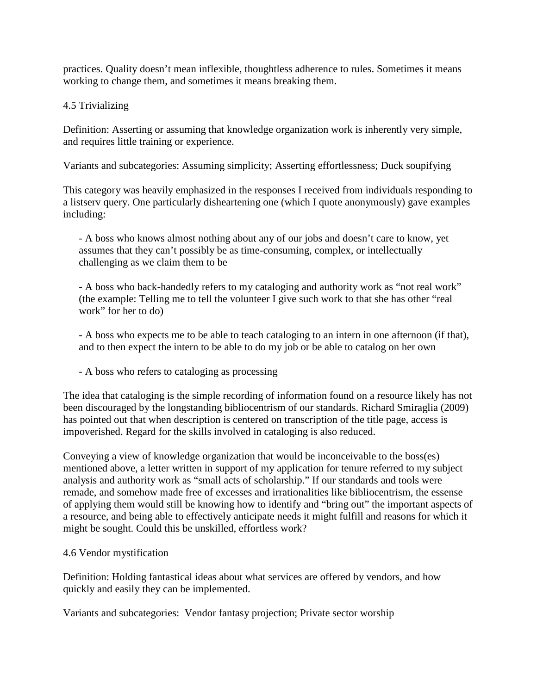practices. Quality doesn't mean inflexible, thoughtless adherence to rules. Sometimes it means working to change them, and sometimes it means breaking them.

## 4.5 Trivializing

Definition: Asserting or assuming that knowledge organization work is inherently very simple, and requires little training or experience.

Variants and subcategories: Assuming simplicity; Asserting effortlessness; Duck soupifying

This category was heavily emphasized in the responses I received from individuals responding to a listserv query. One particularly disheartening one (which I quote anonymously) gave examples including:

- A boss who knows almost nothing about any of our jobs and doesn't care to know, yet assumes that they can't possibly be as time-consuming, complex, or intellectually challenging as we claim them to be

- A boss who back-handedly refers to my cataloging and authority work as "not real work" (the example: Telling me to tell the volunteer I give such work to that she has other "real work" for her to do)

- A boss who expects me to be able to teach cataloging to an intern in one afternoon (if that), and to then expect the intern to be able to do my job or be able to catalog on her own

- A boss who refers to cataloging as processing

The idea that cataloging is the simple recording of information found on a resource likely has not been discouraged by the longstanding bibliocentrism of our standards. Richard Smiraglia (2009) has pointed out that when description is centered on transcription of the title page, access is impoverished. Regard for the skills involved in cataloging is also reduced.

Conveying a view of knowledge organization that would be inconceivable to the boss(es) mentioned above, a letter written in support of my application for tenure referred to my subject analysis and authority work as "small acts of scholarship." If our standards and tools were remade, and somehow made free of excesses and irrationalities like bibliocentrism, the essense of applying them would still be knowing how to identify and "bring out" the important aspects of a resource, and being able to effectively anticipate needs it might fulfill and reasons for which it might be sought. Could this be unskilled, effortless work?

### 4.6 Vendor mystification

Definition: Holding fantastical ideas about what services are offered by vendors, and how quickly and easily they can be implemented.

Variants and subcategories: Vendor fantasy projection; Private sector worship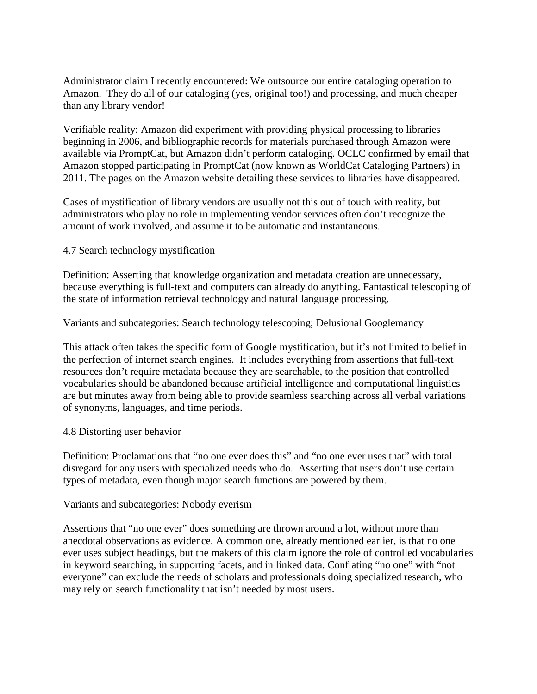Administrator claim I recently encountered: We outsource our entire cataloging operation to Amazon. They do all of our cataloging (yes, original too!) and processing, and much cheaper than any library vendor!

Verifiable reality: Amazon did experiment with providing physical processing to libraries beginning in 2006, and bibliographic records for materials purchased through Amazon were available via PromptCat, but Amazon didn't perform cataloging. OCLC confirmed by email that Amazon stopped participating in PromptCat (now known as WorldCat Cataloging Partners) in 2011. The pages on the Amazon website detailing these services to libraries have disappeared.

Cases of mystification of library vendors are usually not this out of touch with reality, but administrators who play no role in implementing vendor services often don't recognize the amount of work involved, and assume it to be automatic and instantaneous.

4.7 Search technology mystification

Definition: Asserting that knowledge organization and metadata creation are unnecessary, because everything is full-text and computers can already do anything. Fantastical telescoping of the state of information retrieval technology and natural language processing.

Variants and subcategories: Search technology telescoping; Delusional Googlemancy

This attack often takes the specific form of Google mystification, but it's not limited to belief in the perfection of internet search engines. It includes everything from assertions that full-text resources don't require metadata because they are searchable, to the position that controlled vocabularies should be abandoned because artificial intelligence and computational linguistics are but minutes away from being able to provide seamless searching across all verbal variations of synonyms, languages, and time periods.

#### 4.8 Distorting user behavior

Definition: Proclamations that "no one ever does this" and "no one ever uses that" with total disregard for any users with specialized needs who do. Asserting that users don't use certain types of metadata, even though major search functions are powered by them.

Variants and subcategories: Nobody everism

Assertions that "no one ever" does something are thrown around a lot, without more than anecdotal observations as evidence. A common one, already mentioned earlier, is that no one ever uses subject headings, but the makers of this claim ignore the role of controlled vocabularies in keyword searching, in supporting facets, and in linked data. Conflating "no one" with "not everyone" can exclude the needs of scholars and professionals doing specialized research, who may rely on search functionality that isn't needed by most users.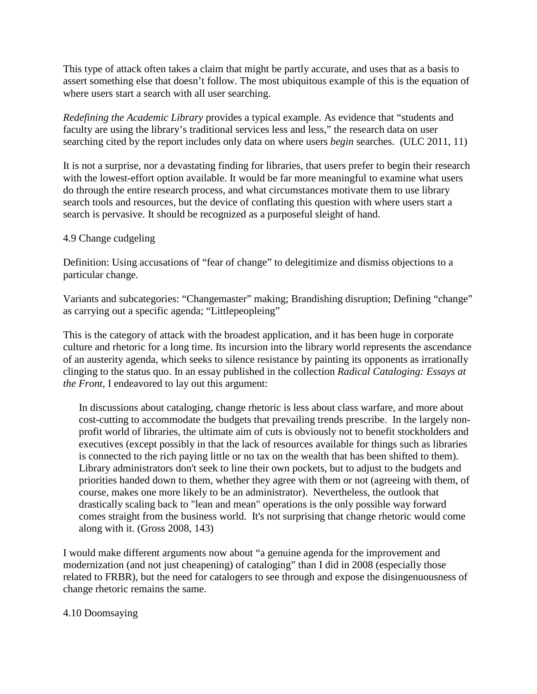This type of attack often takes a claim that might be partly accurate, and uses that as a basis to assert something else that doesn't follow. The most ubiquitous example of this is the equation of where users start a search with all user searching.

*Redefining the Academic Library* provides a typical example. As evidence that "students and faculty are using the library's traditional services less and less," the research data on user searching cited by the report includes only data on where users *begin* searches. (ULC 2011, 11)

It is not a surprise, nor a devastating finding for libraries, that users prefer to begin their research with the lowest-effort option available. It would be far more meaningful to examine what users do through the entire research process, and what circumstances motivate them to use library search tools and resources, but the device of conflating this question with where users start a search is pervasive. It should be recognized as a purposeful sleight of hand.

#### 4.9 Change cudgeling

Definition: Using accusations of "fear of change" to delegitimize and dismiss objections to a particular change.

Variants and subcategories: "Changemaster" making; Brandishing disruption; Defining "change" as carrying out a specific agenda; "Littlepeopleing"

This is the category of attack with the broadest application, and it has been huge in corporate culture and rhetoric for a long time. Its incursion into the library world represents the ascendance of an austerity agenda, which seeks to silence resistance by painting its opponents as irrationally clinging to the status quo. In an essay published in the collection *Radical Cataloging: Essays at the Front*, I endeavored to lay out this argument:

In discussions about cataloging, change rhetoric is less about class warfare, and more about cost-cutting to accommodate the budgets that prevailing trends prescribe. In the largely nonprofit world of libraries, the ultimate aim of cuts is obviously not to benefit stockholders and executives (except possibly in that the lack of resources available for things such as libraries is connected to the rich paying little or no tax on the wealth that has been shifted to them). Library administrators don't seek to line their own pockets, but to adjust to the budgets and priorities handed down to them, whether they agree with them or not (agreeing with them, of course, makes one more likely to be an administrator). Nevertheless, the outlook that drastically scaling back to "lean and mean" operations is the only possible way forward comes straight from the business world. It's not surprising that change rhetoric would come along with it. (Gross 2008, 143)

I would make different arguments now about "a genuine agenda for the improvement and modernization (and not just cheapening) of cataloging" than I did in 2008 (especially those related to FRBR), but the need for catalogers to see through and expose the disingenuousness of change rhetoric remains the same.

#### 4.10 Doomsaying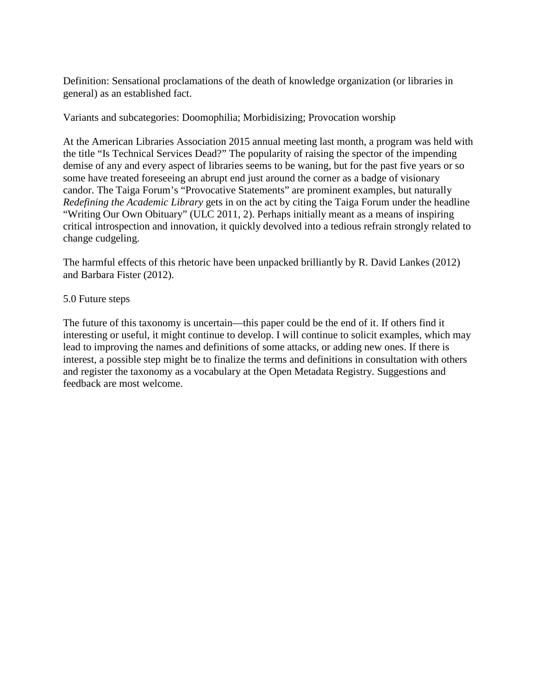Definition: Sensational proclamations of the death of knowledge organization (or libraries in general) as an established fact.

Variants and subcategories: Doomophilia; Morbidisizing; Provocation worship

At the American Libraries Association 2015 annual meeting last month, a program was held with the title "Is Technical Services Dead?" The popularity of raising the spector of the impending demise of any and every aspect of libraries seems to be waning, but for the past five years or so some have treated foreseeing an abrupt end just around the corner as a badge of visionary candor. The Taiga Forum's "Provocative Statements" are prominent examples, but naturally *Redefining the Academic Library* gets in on the act by citing the Taiga Forum under the headline "Writing Our Own Obituary" (ULC 2011, 2). Perhaps initially meant as a means of inspiring critical introspection and innovation, it quickly devolved into a tedious refrain strongly related to change cudgeling.

The harmful effects of this rhetoric have been unpacked brilliantly by R. David Lankes (2012) and Barbara Fister (2012).

#### 5.0 Future steps

The future of this taxonomy is uncertain—this paper could be the end of it. If others find it interesting or useful, it might continue to develop. I will continue to solicit examples, which may lead to improving the names and definitions of some attacks, or adding new ones. If there is interest, a possible step might be to finalize the terms and definitions in consultation with others and register the taxonomy as a vocabulary at the Open Metadata Registry. Suggestions and feedback are most welcome.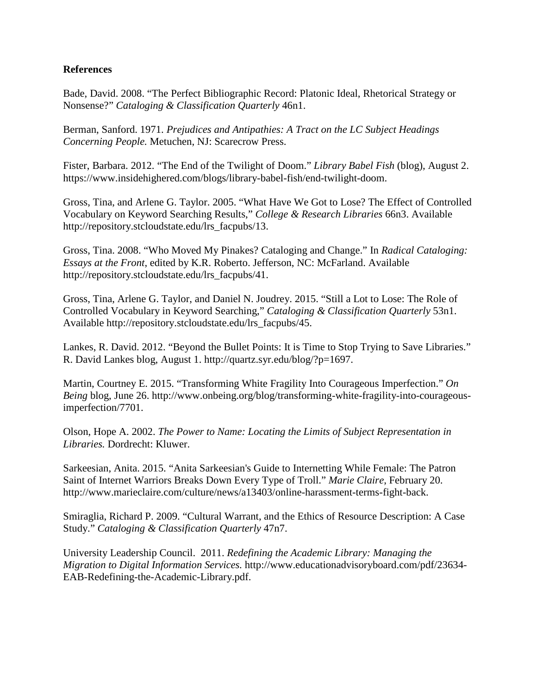#### **References**

Bade, David. 2008. "The Perfect Bibliographic Record: Platonic Ideal, Rhetorical Strategy or Nonsense?" *Cataloging & Classification Quarterly* 46n1.

Berman, Sanford. 1971. *Prejudices and Antipathies: A Tract on the LC Subject Headings Concerning People.* Metuchen, NJ: Scarecrow Press.

Fister, Barbara. 2012. "The End of the Twilight of Doom." *Library Babel Fish* (blog), August 2. https://www.insidehighered.com/blogs/library-babel-fish/end-twilight-doom.

Gross, Tina, and Arlene G. Taylor. 2005. "What Have We Got to Lose? The Effect of Controlled Vocabulary on Keyword Searching Results," *College & Research Libraries* 66n3. Available http://repository.stcloudstate.edu/lrs\_facpubs/13.

Gross, Tina. 2008. "Who Moved My Pinakes? Cataloging and Change." In *Radical Cataloging: Essays at the Front*, edited by K.R. Roberto. Jefferson, NC: McFarland. Available http://repository.stcloudstate.edu/lrs\_facpubs/41.

Gross, Tina, Arlene G. Taylor, and Daniel N. Joudrey. 2015. "Still a Lot to Lose: The Role of Controlled Vocabulary in Keyword Searching," *Cataloging & Classification Quarterly* 53n1. Available http://repository.stcloudstate.edu/lrs\_facpubs/45.

Lankes, R. David. 2012. "Beyond the Bullet Points: It is Time to Stop Trying to Save Libraries." R. David Lankes blog, August 1. http://quartz.syr.edu/blog/?p=1697.

Martin, Courtney E. 2015. "Transforming White Fragility Into Courageous Imperfection." *On Being* blog, June 26. http://www.onbeing.org/blog/transforming-white-fragility-into-courageousimperfection/7701.

Olson, Hope A. 2002. *The Power to Name: Locating the Limits of Subject Representation in Libraries.* Dordrecht: Kluwer.

Sarkeesian, Anita. 2015. "Anita Sarkeesian's Guide to Internetting While Female: The Patron Saint of Internet Warriors Breaks Down Every Type of Troll." *Marie Claire*, February 20. http://www.marieclaire.com/culture/news/a13403/online-harassment-terms-fight-back.

Smiraglia, Richard P. 2009. "Cultural Warrant, and the Ethics of Resource Description: A Case Study." *Cataloging & Classification Quarterly* 47n7.

University Leadership Council. 2011. *Redefining the Academic Library: Managing the Migration to Digital Information Services.* http://www.educationadvisoryboard.com/pdf/23634- EAB-Redefining-the-Academic-Library.pdf.